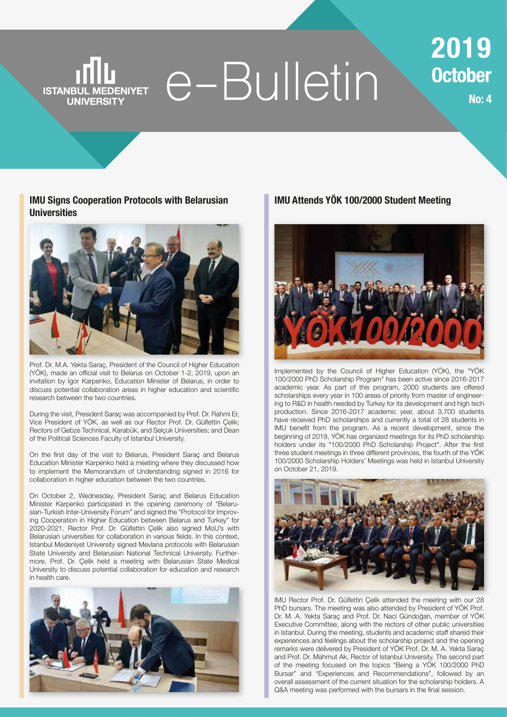## e-Bulletin **ISTANBUL MEDENIYET UNIVERSITY**

2019 **October** 

**No: 4** 

**IMU Signs Cooperation Protocols with Belarusian Universities**



Prof. Dr. M.A. Yekta Saraç, President of the Council of Higher Education (YÖK), made an official visit to Belarus on October 1-2, 2019, upon an invitation by Igor Karpenko, Education Minister of Belarus, in order to discuss potential collaboration areas in higher education and scientific research between the two countries.

During the visit, President Saraç was accompanied by Prof. Dr. Rahmi Er, Vice President of YÖK, as well as our Rector Prof. Dr. Gülfettin Çelik; Rectors of Gebze Technical, Karabük, and Selçuk Universities; and Dean of the Political Sciences Faculty of Istanbul University.

On the first day of the visit to Belarus, President Saraç and Belarus Education Minister Karpenko held a meeting where they discussed how to implement the Memorandum of Understanding signed in 2016 for collaboration in higher education between the two countries.

On October 2, Wednesday, President Saraç and Belarus Education Minister Karpenko participated in the opening ceremony of "Belarusian-Turkish Inter-University Forum" and signed the "Protocol for Improving Cooperation in Higher Education between Belarus and Turkey" for 2020-2021. Rector Prof. Dr. Gülfettin Çelik also signed MoU's with Belarusian universities for collaboration in various fields. In this context, Istanbul Medeniyet University signed Mevlana protocols with Belarusian State University and Belarusian National Technical University. Furthermore, Prof. Dr. Çelik held a meeting with Belarusian State Medical University to discuss potential collaboration for education and research in health care.



#### **IMU Attends YÖK 100/2000 Student Meeting**



Implemented by the Council of Higher Education (YÖK), the "YÖK 100/2000 PhD Scholarship Program" has been active since 2016-2017 academic year. As part of this program, 2000 students are offered scholarships every year in 100 areas of priority from master of engineering to R&D in health needed by Turkey for its development and high tech production. Since 2016-2017 academic year, about 3,700 students have received PhD scholarships and currently a total of 28 students in IMU benefit from the program. As a recent development, since the beginning of 2019, YÖK has organized meetings for its PhD scholarship holders under its "100/2000 PhD Scholarship Project". After the first three student meetings in three different provinces, the fourth of the YÖK 100/2000 Scholarship Holders' Meetings was held in Istanbul University on October 21, 2019.



IMU Rector Prof. Dr. Gülfettin Çelik attended the meeting with our 28 PhD bursars. The meeting was also attended by President of YÖK Prof. Dr. M. A. Yekta Saraç and Prof. Dr. Naci Gündoğan, member of YÖK Executive Committee, along with the rectors of other public universities in Istanbul. During the meeting, students and academic staff shared their experiences and feelings about the scholarship project and the opening remarks were delivered by President of YÖK Prof. Dr. M. A. Yekta Saraç and Prof. Dr. Mahmut Ak, Rector of Istanbul University. The second part of the meeting focused on the topics "Being a YÖK 100/2000 PhD Bursar" and "Experiences and Recommendations", followed by an overall assessment of the current situation for the scholarship holders. A Q&A meeting was performed with the bursars in the final session.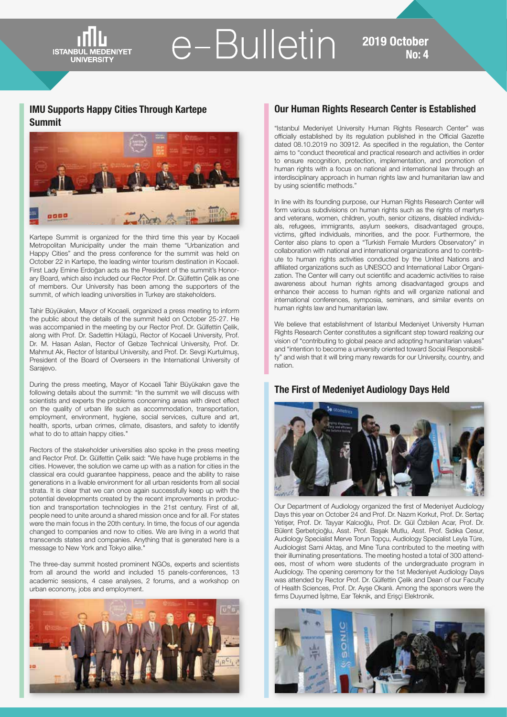e-Bulletin<sup>2019</sup>0ctober

#### **IMU Supports Happy Cities Through Kartepe Summit**

**ISTANBU** 

**UNIVERSITY** 



Kartepe Summit is organized for the third time this year by Kocaeli Metropolitan Municipality under the main theme "Urbanization and Happy Cities" and the press conference for the summit was held on October 22 in Kartepe, the leading winter tourism destination in Kocaeli. First Lady Emine Erdoğan acts as the President of the summit's Honorary Board, which also included our Rector Prof. Dr. Gülfettin Çelik as one of members. Our University has been among the supporters of the summit, of which leading universities in Turkey are stakeholders.

Tahir Büyükakın, Mayor of Kocaeli, organized a press meeting to inform the public about the details of the summit held on October 25-27. He was accompanied in the meeting by our Rector Prof. Dr. Gülfettin Çelik, along with Prof. Dr. Sadettin Hülagü, Rector of Kocaeli University, Prof. Dr. M. Hasan Aslan, Rector of Gebze Technical University, Prof. Dr. Mahmut Ak, Rector of İstanbul University, and Prof. Dr. Sevgi Kurtulmuş, President of the Board of Overseers in the International University of Sarajevo.

During the press meeting, Mayor of Kocaeli Tahir Büyükakın gave the following details about the summit: "In the summit we will discuss with scientists and experts the problems concerning areas with direct effect on the quality of urban life such as accommodation, transportation, employment, environment, hygiene, social services, culture and art, health, sports, urban crimes, climate, disasters, and safety to identify what to do to attain happy cities."

Rectors of the stakeholder universities also spoke in the press meeting and Rector Prof. Dr. Gülfettin Çelik said: "We have huge problems in the cities. However, the solution we came up with as a nation for cities in the classical era could guarantee happiness, peace and the ability to raise generations in a livable environment for all urban residents from all social strata. It is clear that we can once again successfully keep up with the potential developments created by the recent improvements in production and transportation technologies in the 21st century. First of all, people need to unite around a shared mission once and for all. For states were the main focus in the 20th century. In time, the focus of our agenda changed to companies and now to cities. We are living in a world that transcends states and companies. Anything that is generated here is a message to New York and Tokyo alike."

The three-day summit hosted prominent NGOs, experts and scientists from all around the world and included 15 panels-conferences, 13 academic sessions, 4 case analyses, 2 forums, and a workshop on urban economy, jobs and employment.



#### **Our Human Rights Research Center is Established**

"Istanbul Medeniyet University Human Rights Research Center" was officially established by its regulation published in the Official Gazette dated 08.10.2019 no 30912. As specified in the regulation, the Center aims to "conduct theoretical and practical research and activities in order to ensure recognition, protection, implementation, and promotion of human rights with a focus on national and international law through an interdisciplinary approach in human rights law and humanitarian law and by using scientific methods."

In line with its founding purpose, our Human Rights Research Center will form various subdivisions on human rights such as the rights of martyrs and veterans, women, children, youth, senior citizens, disabled individuals, refugees, immigrants, asylum seekers, disadvantaged groups, victims, gifted individuals, minorities, and the poor. Furthermore, the Center also plans to open a "Turkish Female Murders Observatory" in collaboration with national and international organizations and to contribute to human rights activities conducted by the United Nations and affiliated organizations such as UNESCO and International Labor Organization. The Center will carry out scientific and academic activities to raise awareness about human rights among disadvantaged groups and enhance their access to human rights and will organize national and international conferences, symposia, seminars, and similar events on human rights law and humanitarian law.

We believe that establishment of Istanbul Medeniyet University Human Rights Research Center constitutes a significant step toward realizing our vision of "contributing to global peace and adopting humanitarian values" and "intention to become a university oriented toward Social Responsibility" and wish that it will bring many rewards for our University, country, and nation.

#### **The First of Medeniyet Audiology Days Held**



Our Department of Audiology organized the first of Medeniyet Audiology Days this year on October 24 and Prof. Dr. Nazım Korkut, Prof. Dr. Sertaç Yetişer, Prof. Dr. Tayyar Kalcıoğlu, Prof. Dr. Gül Özbilen Acar, Prof. Dr. Bülent Şerbetçioğlu, Asst. Prof. Başak Mutlu, Asst. Prof. Sıdıka Cesur, Audiology Specialist Merve Torun Topçu, Audiology Specialist Leyla Türe, Audiologist Sami Aktaş, and Mine Tuna contributed to the meeting with their illuminating presentations. The meeting hosted a total of 300 attendees, most of whom were students of the undergraduate program in Audiology. The opening ceremony for the 1st Medeniyet Audiology Days was attended by Rector Prof. Dr. Gülfettin Çelik and Dean of our Faculty of Health Sciences, Prof. Dr. Ayşe Okanlı. Among the sponsors were the firms Duyumed İşitme, Ear Teknik, and Erişçi Elektronik.

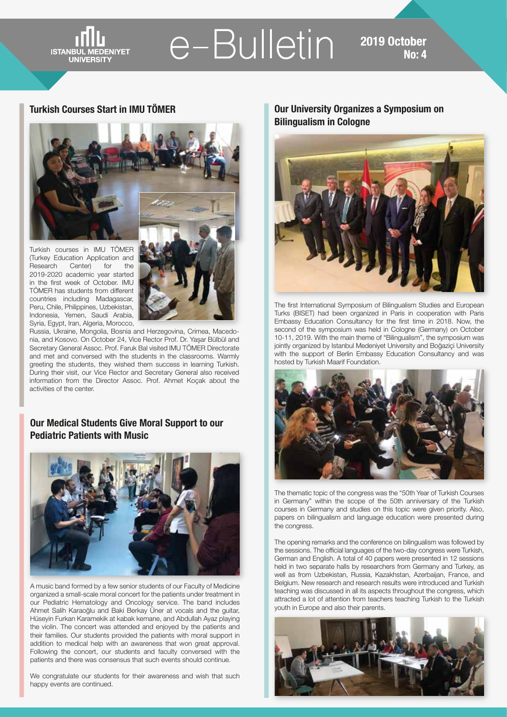**ISTANBUL UNIVERSIT** 

# e-Bulletin 2019 October

#### **Turkish Courses Start in IMU TÖMER**



Turkish courses in IMU TÖMER (Turkey Education Application and Research Center) for the 2019-2020 academic year started in the first week of October. IMU TÖMER has students from different countries including Madagascar, Peru, Chile, Philippines, Uzbekistan, Indonesia, Yemen, Saudi Arabia, Syria, Egypt, Iran, Algeria, Morocco,



Russia, Ukraine, Mongolia, Bosnia and Herzegovina, Crimea, Macedonia, and Kosovo. On October 24, Vice Rector Prof. Dr. Yaşar Bülbül and Secretary General Assoc. Prof. Faruk Bal visited IMU TÖMER Directorate and met and conversed with the students in the classrooms. Warmly greeting the students, they wished them success in learning Turkish. During their visit, our Vice Rector and Secretary General also received information from the Director Assoc. Prof. Ahmet Koçak about the activities of the center.

### **Our Medical Students Give Moral Support to our Pediatric Patients with Music**



A music band formed by a few senior students of our Faculty of Medicine organized a small-scale moral concert for the patients under treatment in our Pediatric Hematology and Oncology service. The band includes Ahmet Salih Karaoğlu and Baki Berkay Üner at vocals and the guitar, Hüseyin Furkan Karamekik at kabak kemane, and Abdullah Ayaz playing the violin. The concert was attended and enjoyed by the patients and their families. Our students provided the patients with moral support in addition to medical help with an awareness that won great approval. Following the concert, our students and faculty conversed with the patients and there was consensus that such events should continue.

We congratulate our students for their awareness and wish that such happy events are continued.

**Our University Organizes a Symposium on Bilingualism in Cologne**



The first International Symposium of Bilingualism Studies and European Turks (BISET) had been organized in Paris in cooperation with Paris Embassy Education Consultancy for the first time in 2018. Now, the second of the symposium was held in Cologne (Germany) on October 10-11, 2019. With the main theme of "Bilingualism", the symposium was jointly organized by Istanbul Medeniyet University and Boğaziçi University with the support of Berlin Embassy Education Consultancy and was hosted by Turkish Maarif Foundation.



The thematic topic of the congress was the "50th Year of Turkish Courses in Germany" within the scope of the 50th anniversary of the Turkish courses in Germany and studies on this topic were given priority. Also, papers on bilingualism and language education were presented during the congress.

The opening remarks and the conference on bilingualism was followed by the sessions. The official languages of the two-day congress were Turkish, German and English. A total of 40 papers were presented in 12 sessions held in two separate halls by researchers from Germany and Turkey, as well as from Uzbekistan, Russia, Kazakhstan, Azerbaijan, France, and Belgium. New research and research results were introduced and Turkish teaching was discussed in all its aspects throughout the congress, which attracted a lot of attention from teachers teaching Turkish to the Turkish youth in Europe and also their parents.